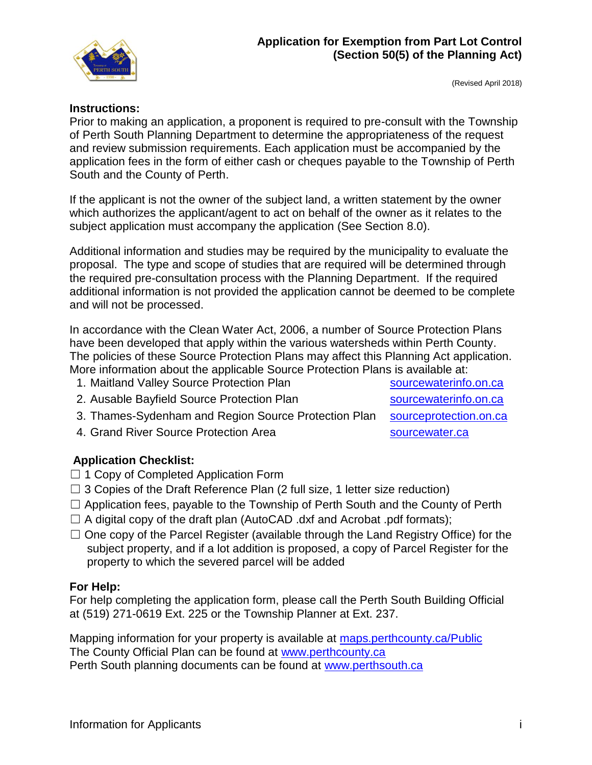

(Revised April 2018)

## **Instructions:**

Prior to making an application, a proponent is required to pre-consult with the Township of Perth South Planning Department to determine the appropriateness of the request and review submission requirements. Each application must be accompanied by the application fees in the form of either cash or cheques payable to the Township of Perth South and the County of Perth.

If the applicant is not the owner of the subject land, a written statement by the owner which authorizes the applicant/agent to act on behalf of the owner as it relates to the subject application must accompany the application (See Section 8.0).

Additional information and studies may be required by the municipality to evaluate the proposal. The type and scope of studies that are required will be determined through the required pre-consultation process with the Planning Department. If the required additional information is not provided the application cannot be deemed to be complete and will not be processed.

In accordance with the Clean Water Act, 2006, a number of Source Protection Plans have been developed that apply within the various watersheds within Perth County. The policies of these Source Protection Plans may affect this Planning Act application. More information about the applicable Source Protection Plans is available at:

1. Maitland Valley Source Protection Plan sourcewaterinfo.on.ca

- 2. Ausable Bayfield Source Protection Plan [sourcewaterinfo.on.ca](http://sourcewaterinfo.on.ca/)
	-
- 3. Thames-Sydenham and Region Source Protection Plan [sourceprotection.on.ca](http://www.sourceprotection.on.ca/)
- 4. Grand River Source Protection Area strategy and [sourcewater.ca](http://www.sourcewater.ca/)

## **Application Checklist:**

- □ 1 Copy of Completed Application Form
- $\Box$  3 Copies of the Draft Reference Plan (2 full size, 1 letter size reduction)
- ☐ Application fees, payable to the Township of Perth South and the County of Perth
- $\Box$  A digital copy of the draft plan (AutoCAD .dxf and Acrobat .pdf formats);
- $\Box$  One copy of the Parcel Register (available through the Land Registry Office) for the subject property, and if a lot addition is proposed, a copy of Parcel Register for the property to which the severed parcel will be added

## **For Help:**

For help completing the application form, please call the Perth South Building Official at (519) 271-0619 Ext. 225 or the Township Planner at Ext. 237.

Mapping information for your property is available at [maps.perthcounty.ca/Public](file://///perthcounty.local/data/documents/planning/Application%20%20Fee%20&%20other%20Forms/Draft%20New%20Applications/Exemption%20from%20Part%20Lot%20Control%20Applications/maps.perthcounty.ca/Public) The County Official Plan can be found at [www.perthcounty.ca](http://www.perthcounty.ca/County_of_Perth_Official_Plan) Perth South planning documents can be found at [www.perthsouth.ca](http://www.perthsouth.ca/)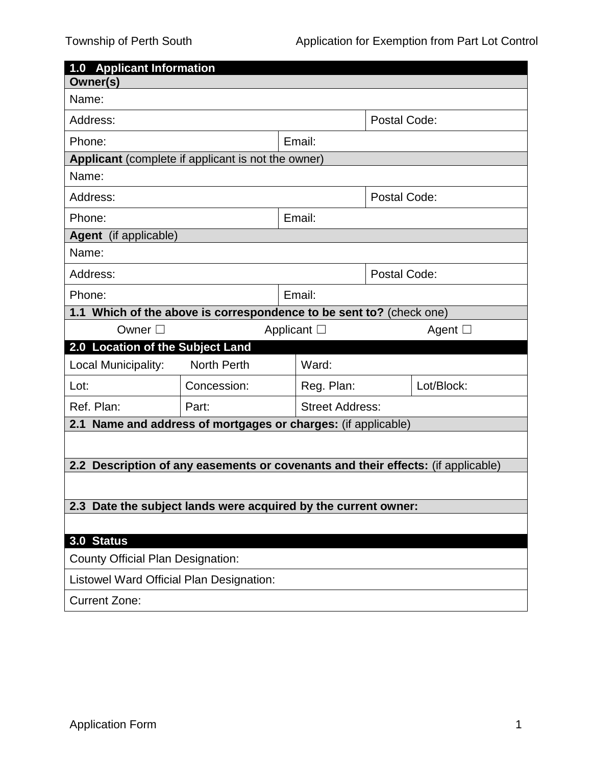| <b>1.0 Applicant Information</b>                                                                 |                    |  |                        |  |                 |  |  |  |
|--------------------------------------------------------------------------------------------------|--------------------|--|------------------------|--|-----------------|--|--|--|
| Owner(s)                                                                                         |                    |  |                        |  |                 |  |  |  |
| Name:                                                                                            |                    |  |                        |  |                 |  |  |  |
| Address:                                                                                         |                    |  | Postal Code:           |  |                 |  |  |  |
| Phone:                                                                                           |                    |  | Email:                 |  |                 |  |  |  |
| Applicant (complete if applicant is not the owner)                                               |                    |  |                        |  |                 |  |  |  |
| Name:                                                                                            |                    |  |                        |  |                 |  |  |  |
| Address:                                                                                         |                    |  | Postal Code:           |  |                 |  |  |  |
| Phone:                                                                                           |                    |  | Email:                 |  |                 |  |  |  |
| Agent (if applicable)                                                                            |                    |  |                        |  |                 |  |  |  |
| Name:                                                                                            |                    |  |                        |  |                 |  |  |  |
| Address:                                                                                         |                    |  | Postal Code:           |  |                 |  |  |  |
| Phone:                                                                                           |                    |  | Email:                 |  |                 |  |  |  |
| 1.1 Which of the above is correspondence to be sent to? (check one)                              |                    |  |                        |  |                 |  |  |  |
| Owner $\square$<br>Applicant $\Box$                                                              |                    |  |                        |  | Agent $\square$ |  |  |  |
| 2.0 Location of the Subject Land                                                                 |                    |  |                        |  |                 |  |  |  |
| Local Municipality:                                                                              | <b>North Perth</b> |  | Ward:                  |  |                 |  |  |  |
| Lot:                                                                                             | Concession:        |  | Reg. Plan:             |  | Lot/Block:      |  |  |  |
| Ref. Plan:                                                                                       | Part:              |  | <b>Street Address:</b> |  |                 |  |  |  |
| 2.1 Name and address of mortgages or charges: (if applicable)                                    |                    |  |                        |  |                 |  |  |  |
|                                                                                                  |                    |  |                        |  |                 |  |  |  |
| Description of any easements or covenants and their effects: (if applicable)<br>2.2 <sub>2</sub> |                    |  |                        |  |                 |  |  |  |
|                                                                                                  |                    |  |                        |  |                 |  |  |  |
| Date the subject lands were acquired by the current owner:<br>2.3                                |                    |  |                        |  |                 |  |  |  |
|                                                                                                  |                    |  |                        |  |                 |  |  |  |
| 3.0 Status                                                                                       |                    |  |                        |  |                 |  |  |  |
| <b>County Official Plan Designation:</b>                                                         |                    |  |                        |  |                 |  |  |  |
| <b>Listowel Ward Official Plan Designation:</b>                                                  |                    |  |                        |  |                 |  |  |  |
| <b>Current Zone:</b>                                                                             |                    |  |                        |  |                 |  |  |  |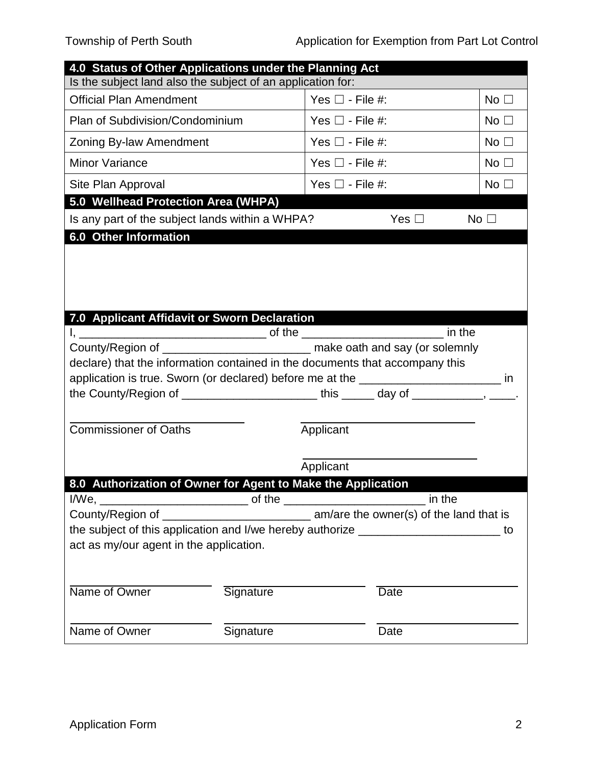|                                                                                      | 4.0 Status of Other Applications under the Planning Act |                         |                 |  |  |  |  |  |
|--------------------------------------------------------------------------------------|---------------------------------------------------------|-------------------------|-----------------|--|--|--|--|--|
| Is the subject land also the subject of an application for:                          |                                                         |                         |                 |  |  |  |  |  |
| <b>Official Plan Amendment</b>                                                       |                                                         | Yes $\square$ - File #: | No <sub>1</sub> |  |  |  |  |  |
| Plan of Subdivision/Condominium                                                      |                                                         | Yes $\square$ - File #: | No $\square$    |  |  |  |  |  |
| Zoning By-law Amendment                                                              |                                                         | Yes $\Box$ - File #:    | No <sub>1</sub> |  |  |  |  |  |
| <b>Minor Variance</b>                                                                |                                                         | Yes $\Box$ - File #:    | No <sub>1</sub> |  |  |  |  |  |
| Site Plan Approval                                                                   |                                                         | Yes $\Box$ - File #:    | No <sub>1</sub> |  |  |  |  |  |
| 5.0 Wellhead Protection Area (WHPA)                                                  |                                                         |                         |                 |  |  |  |  |  |
| Is any part of the subject lands within a WHPA?                                      |                                                         | Yes $\Box$              | No <sub>1</sub> |  |  |  |  |  |
| 6.0 Other Information                                                                |                                                         |                         |                 |  |  |  |  |  |
|                                                                                      |                                                         |                         |                 |  |  |  |  |  |
| 7.0 Applicant Affidavit or Sworn Declaration                                         |                                                         |                         |                 |  |  |  |  |  |
|                                                                                      |                                                         |                         |                 |  |  |  |  |  |
|                                                                                      |                                                         |                         |                 |  |  |  |  |  |
| declare) that the information contained in the documents that accompany this         |                                                         |                         |                 |  |  |  |  |  |
|                                                                                      |                                                         |                         |                 |  |  |  |  |  |
| application is true. Sworn (or declared) before me at the ______________________ in  |                                                         |                         |                 |  |  |  |  |  |
|                                                                                      |                                                         |                         |                 |  |  |  |  |  |
| Commissioner of Oaths                                                                |                                                         | Applicant               |                 |  |  |  |  |  |
|                                                                                      |                                                         |                         |                 |  |  |  |  |  |
|                                                                                      |                                                         | Applicant               |                 |  |  |  |  |  |
| 8.0 Authorization of Owner for Agent to Make the Application                         |                                                         |                         |                 |  |  |  |  |  |
|                                                                                      |                                                         |                         |                 |  |  |  |  |  |
|                                                                                      |                                                         |                         |                 |  |  |  |  |  |
| the subject of this application and I/we hereby authorize _______________________ to |                                                         |                         |                 |  |  |  |  |  |
| act as my/our agent in the application.                                              |                                                         |                         |                 |  |  |  |  |  |
|                                                                                      |                                                         |                         |                 |  |  |  |  |  |
| Name of Owner                                                                        | Signature                                               | <b>Date</b>             |                 |  |  |  |  |  |